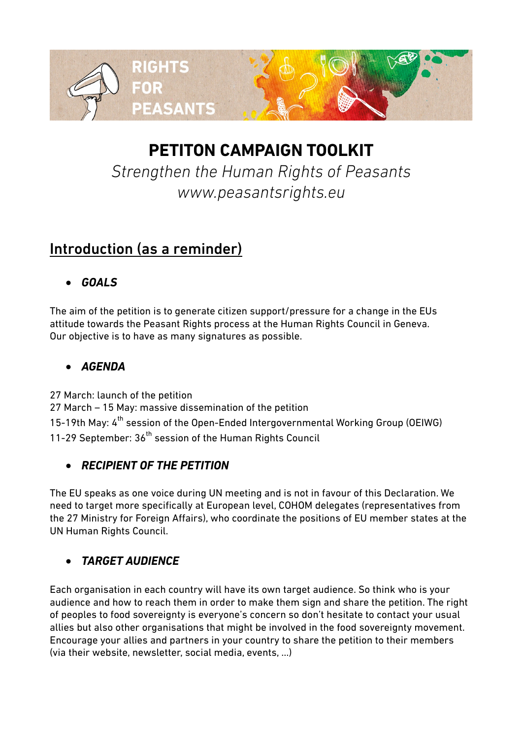

# **PETITON CAMPAIGN TOOLKIT**

*Strengthen the Human Rights of Peasants www.peasantsrights.eu*

# Introduction (as a reminder)

### *GOALS*

The aim of the petition is to generate citizen support/pressure for a change in the EUs attitude towards the Peasant Rights process at the Human Rights Council in Geneva. Our objective is to have as many signatures as possible.

### *AGENDA*

27 March: launch of the petition

27 March – 15 May: massive dissemination of the petition 15-19th May: 4<sup>th</sup> session of the Open-Ended Intergovernmental Working Group (OEIWG) 11-29 September: 36<sup>th</sup> session of the Human Rights Council

### *RECIPIENT OF THE PETITION*

The EU speaks as one voice during UN meeting and is not in favour of this Declaration. We need to target more specifically at European level, COHOM delegates (representatives from the 27 Ministry for Foreign Affairs), who coordinate the positions of EU member states at the UN Human Rights Council.

### *TARGET AUDIENCE*

Each organisation in each country will have its own target audience. So think who is your audience and how to reach them in order to make them sign and share the petition. The right of peoples to food sovereignty is everyone's concern so don't hesitate to contact your usual allies but also other organisations that might be involved in the food sovereignty movement. Encourage your allies and partners in your country to share the petition to their members (via their website, newsletter, social media, events, …)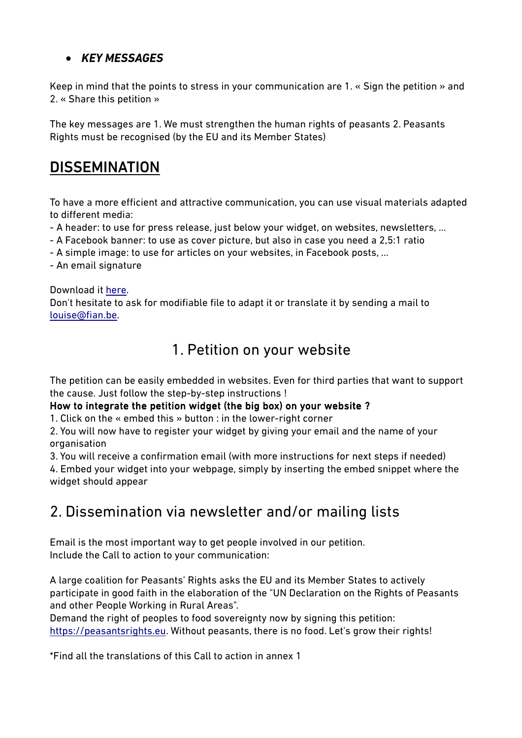### *KEY MESSAGES*

Keep in mind that the points to stress in your communication are 1. « Sign the petition » and 2. « Share this petition »

The key messages are 1. We must strengthen the human rights of peasants 2. Peasants Rights must be recognised (by the EU and its Member States)

# **DISSEMINATION**

To have a more efficient and attractive communication, you can use visual materials adapted to different media:

- A header: to use for press release, just below your widget, on websites, newsletters, ...

- A Facebook banner: to use as cover picture, but also in case you need a 2,5:1 ratio
- A simple image: to use for articles on your websites, in Facebook posts, …
- An email signature

Download it [here.](http://www.fian.be/Online-Petition-Tools?lang=fr) Don't hesitate to ask for modifiable file to adapt it or translate it by sending a mail to [louise@fian.be.](mailto:louise@fian.be)

### 1. Petition on your website

The petition can be easily embedded in websites. Even for third parties that want to support the cause. Just follow the step-by-step instructions !

#### How to integrate the petition widget (the big box) on your website ?

1. Click on the « embed this » button : in the lower-right corner

2. You will now have to register your widget by giving your email and the name of your organisation

3. You will receive a confirmation email (with more instructions for next steps if needed)

4. Embed your widget into your webpage, simply by inserting the embed snippet where the widget should appear

# 2. Dissemination via newsletter and/or mailing lists

Email is the most important way to get people involved in our petition. Include the Call to action to your communication:

A large coalition for Peasants' Rights asks the EU and its Member States to actively participate in good faith in the elaboration of the "UN Declaration on the Rights of Peasants and other People Working in Rural Areas".

Demand the right of peoples to food sovereignty now by signing this petition: [https://peasantsrights.eu.](https://peasantsrights.eu/) Without peasants, there is no food. Let's grow their rights!

\*Find all the translations of this Call to action in annex 1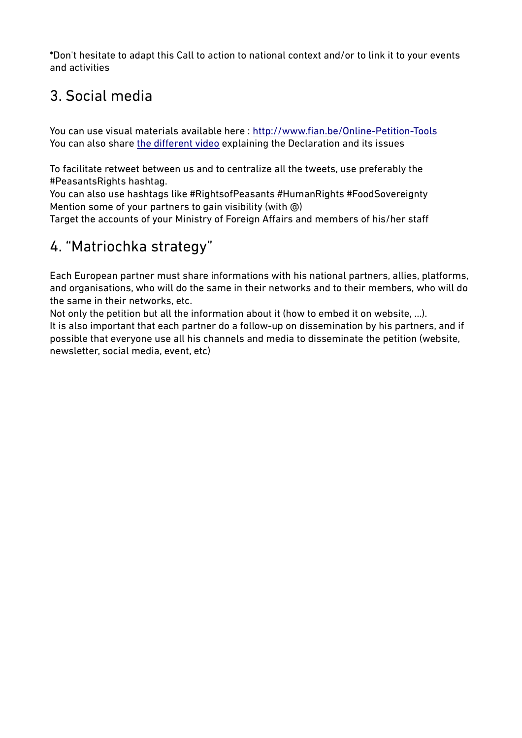\*Don't hesitate to adapt this Call to action to national context and/or to link it to your events and activities

# 3. Social media

You can use visual materials available here :<http://www.fian.be/Online-Petition-Tools> You can also share [the different video](https://www.youtube.com/channel/UCVrSRCq9DR2ps3QM0T1hqqA/videos?sort=dd&view=0&shelf_id=0) explaining the Declaration and its issues

To facilitate retweet between us and to centralize all the tweets, use preferably the #PeasantsRights hashtag.

You can also use hashtags like #RightsofPeasants #HumanRights #FoodSovereignty Mention some of your partners to gain visibility (with @)

Target the accounts of your Ministry of Foreign Affairs and members of his/her staff

# 4. "Matriochka strategy"

Each European partner must share informations with his national partners, allies, platforms, and organisations, who will do the same in their networks and to their members, who will do the same in their networks, etc.

Not only the petition but all the information about it (how to embed it on website, …). It is also important that each partner do a follow-up on dissemination by his partners, and if possible that everyone use all his channels and media to disseminate the petition (website, newsletter, social media, event, etc)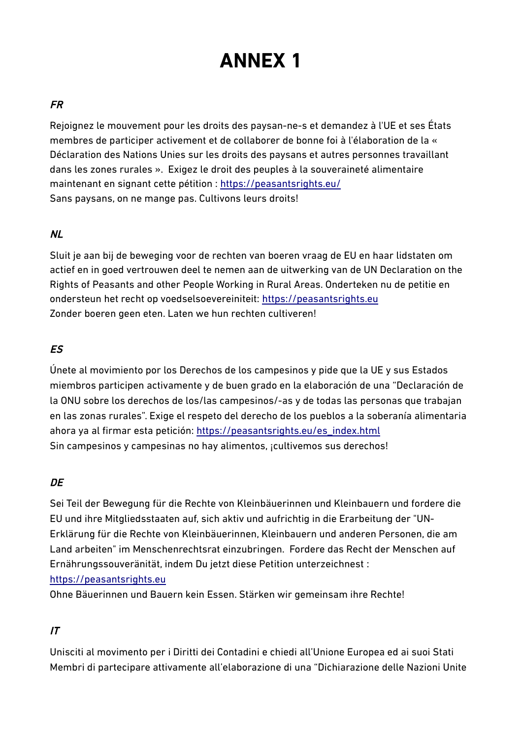# **ANNEX 1**

#### FR

Rejoignez le mouvement pour les droits des paysan-ne-s et demandez à l'UE et ses États membres de participer activement et de collaborer de bonne foi à l'élaboration de la « Déclaration des Nations Unies sur les droits des paysans et autres personnes travaillant dans les zones rurales ». Exigez le droit des peuples à la souveraineté alimentaire maintenant en signant cette pétition :<https://peasantsrights.eu/> Sans paysans, on ne mange pas. Cultivons leurs droits!

#### NL

Sluit je aan bij de beweging voor de rechten van boeren vraag de EU en haar lidstaten om actief en in goed vertrouwen deel te nemen aan de uitwerking van de UN Declaration on the Rights of Peasants and other People Working in Rural Areas. Onderteken nu de petitie en ondersteun het recht op voedselsoevereiniteit: [https://peasantsrights.eu](https://peasantsrights.eu/) Zonder boeren geen eten. Laten we hun rechten cultiveren!

#### ES

Únete al movimiento por los Derechos de los campesinos y pide que la UE y sus Estados miembros participen activamente y de buen grado en la elaboración de una "Declaración de la ONU sobre los derechos de los/las campesinos/-as y de todas las personas que trabajan en las zonas rurales". Exige el respeto del derecho de los pueblos a la soberanía alimentaria ahora ya al firmar esta petición: [https://peasantsrights.eu/es\\_index.html](https://peasantsrights.eu/es_index.html) Sin campesinos y campesinas no hay alimentos, ¡cultivemos sus derechos!

#### **DE**

Sei Teil der Bewegung für die Rechte von Kleinbäuerinnen und Kleinbauern und fordere die EU und ihre Mitgliedsstaaten auf, sich aktiv und aufrichtig in die Erarbeitung der "UN-Erklärung für die Rechte von Kleinbäuerinnen, Kleinbauern und anderen Personen, die am Land arbeiten" im Menschenrechtsrat einzubringen. Fordere das Recht der Menschen auf Ernährungssouveränität, indem Du jetzt diese Petition unterzeichnest :

#### [https://peasantsrights.eu](https://peasantsrights.eu/)

Ohne Bäuerinnen und Bauern kein Essen. Stärken wir gemeinsam ihre Rechte!

#### IT

Unisciti al movimento per i Diritti dei Contadini e chiedi all'Unione Europea ed ai suoi Stati Membri di partecipare attivamente all'elaborazione di una "Dichiarazione delle Nazioni Unite